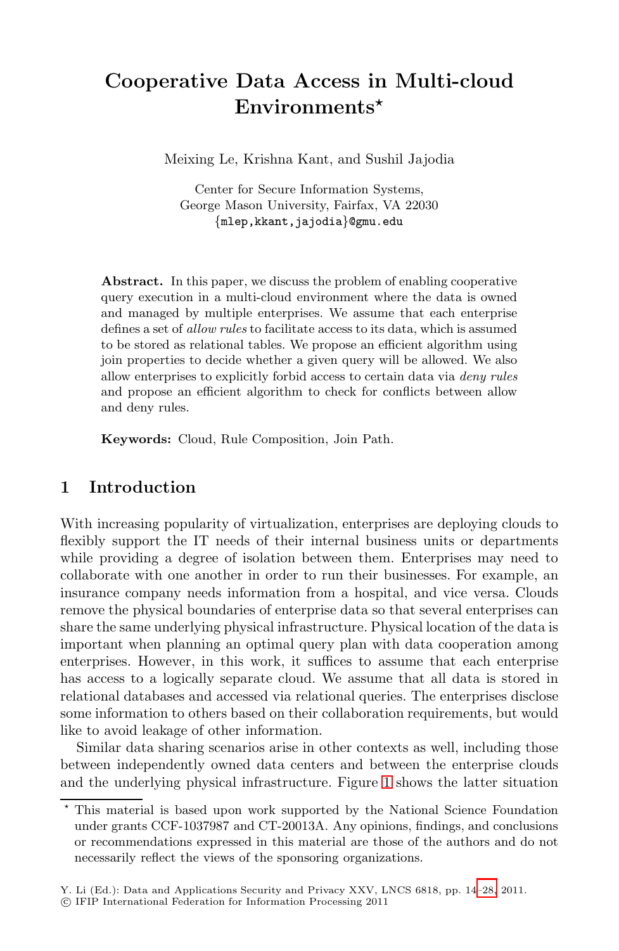# **Cooperative Data Access in Multi-cloud Environments***-*

Meixing Le, Krishna Kant, and Sushil Jajodia

Center for Secure Information Systems, George Mason University, Fairfax, VA 22030 {mlep,kkant,jajodia}@gmu.edu

**Abstract.** In this paper, we discuss the problem of enabling cooperative query execution in a multi-cloud environment where the data is owned and managed by multiple enterprises. We assume that each enterprise defines a set of *allow rules* to facilitate access to its data, which is assumed to be stored as relational tables. We propose an efficient algorithm using join properties to decide whether a given query will be allowed. We also allow enterprises to explicitly forbid access to certain data via *deny rules* and propose an efficient algorithm to check for conflicts between allow and deny rules.

**Keywords:** Cloud, Rule Composition, Join Path.

### **1 Introduction**

With increasing popularity of virtualization, enterprises are deploying clouds to flexibly support the IT needs of their internal business units or departments while providing a degree of isolation between them. Enterprises may need to collaborate with one another in order to run their businesses. For example, an insurance company needs information from a hospital, and vice versa. Clouds remove the physical boundaries of enterprise data so that several enterprises can share the same underlying physical infrastructure. Physical location of the data is important when planning an op[tim](#page-1-0)al query plan with data cooperation among enterprises. However, in this work, it suffices to assume that each enterprise has access to a logically separate cloud. We assume that all data is stored in relational databases and accessed via relational queries. The enterprises disclose some information to others based on their collaboration requirements, but would like to avoid leakage of other information.

Similar data sharing scenarios arise in other [cont](#page-14-0)exts as well, including those between independently owned data centers and between the enterprise clouds and the underlying physical infrastructure. Figure 1 shows the latter situation

<sup>\*</sup> This material is based upon work supported by the National Science Foundation under grants CCF-1037987 and CT-20013A. Any opinions, findings, and conclusions or recommendations expressed in this material are those of the authors and do not necessarily reflect the views of the sponsoring organizations.

Y. Li (Ed.): Data and Applications Security and Privacy XXV, LNCS 6818, pp. 14–28, 2011.

<sup>-</sup>c IFIP International Federation for Information Processing 2011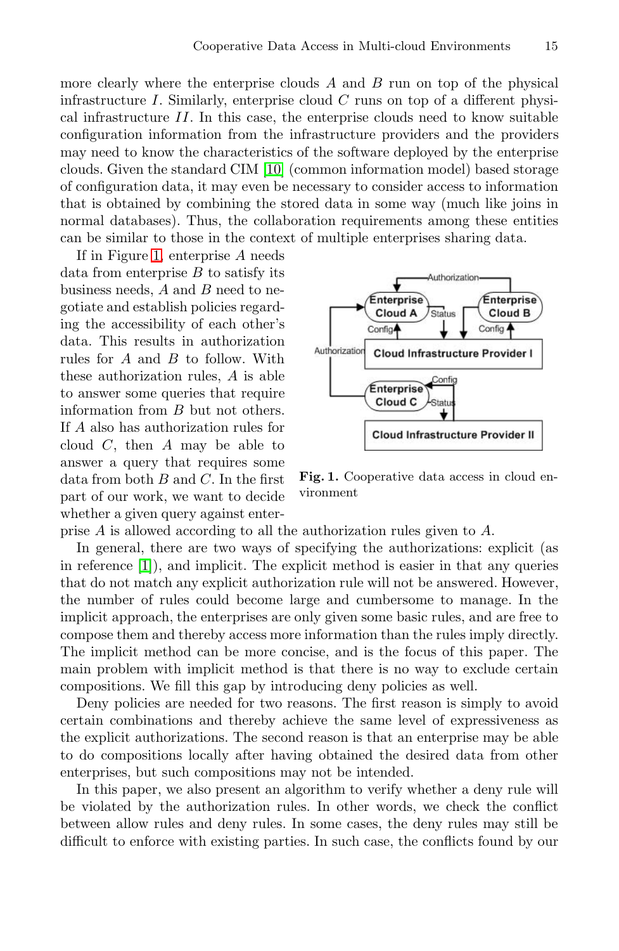more clearly where the enterprise clouds *A* and *B* run on top of the physical infrastructure  $I$ . Similarly, enterprise cloud  $C$  runs on top of a different physical infrastructure *II*. In this case, the enterprise clouds need to know suitable configuration information from the infrastructure providers and the providers may need to know the characteristics of the software deployed by the enterprise clouds. Given the standard CIM [10] (common information model) based storage of configuration data, it may even be necessary to consider access to information that is obtained by combining the stored data in some way (much like joins in normal databases). Thus, the collaboration requirements among these entities can be similar to those in the context of multiple enterprises sharing data.

If in Figure 1, enterprise *A* needs data from enterprise *B* to satisfy its business needs, *A* and *B* need to negotiate and establish policies regarding the accessibility of each other's data. This results in authorization rules for *A* and *B* to follow. With these authorization rules, *A* is able to answer some queries that require information from *B* but not others. If *A* also has authorization rules for cloud *C*, then *A* may be able to answer a query that requires some data from both *B* and *C*. In the first part of our work, we want to decide whether a given query against enter-

<span id="page-1-0"></span>

**Fig. 1.** Cooperative data access in cloud environment

prise *A* is allowed according to all the authorization rules given to *A*.

In general, there are two ways of specifying the authorizations: explicit (as in reference [1]), and implicit. The explicit method is easier in that any queries that do not match any explicit authorization rule will not be answered. However, the number of rules could become large and cumbersome to manage. In the implicit approach, the enterprises are only given some basic rules, and are free to compose them and thereby access more information than the rules imply directly. The implicit method can be more concise, and is the focus of this paper. The main problem with implicit method is that there is no way to exclude certain compositions. We fill this gap by introducing deny policies as well.

Deny policies are needed for two reasons. The first reason is simply to avoid certain combinations and thereby achieve the same level of expressiveness as the explicit authorizations. The second reason is that an enterprise may be able to do compositions locally after having obtained the desired data from other enterprises, but such compositions may not be intended.

In this paper, we also present an algorithm to verify whether a deny rule will be violated by the authorization rules. In other words, we check the conflict between allow rules and deny rules. In some cases, the deny rules may still be difficult to enforce with existing parties. In such case, the conflicts found by our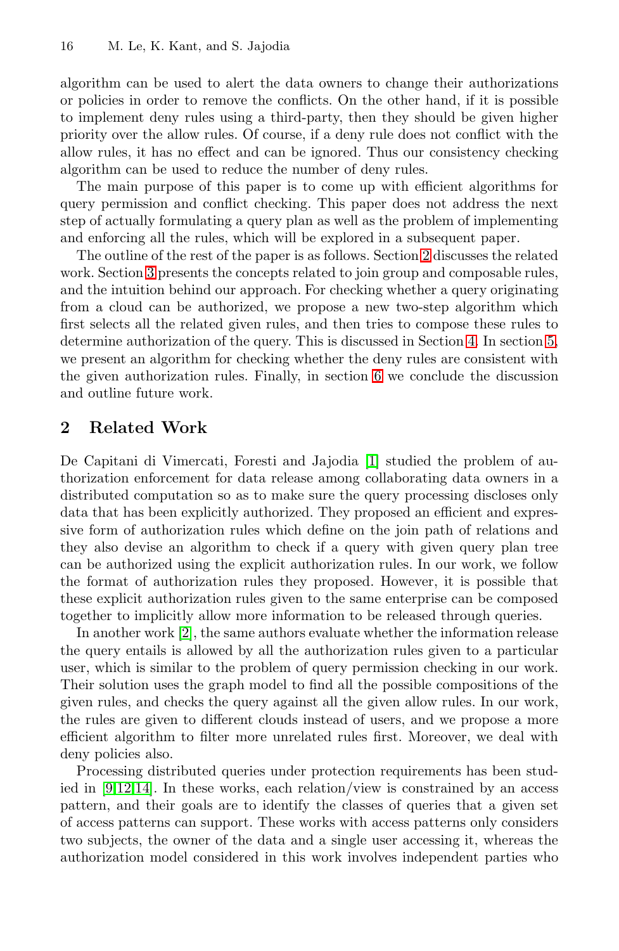#### 16 M. Le, K. Kant, and S. Jajodia

algorithm can be used to alert the data owners to change their authorizations or policies in order to remove the conflicts. On the other hand, if it is possible to implement deny rules using a thir[d-p](#page-2-0)arty, then they should be given higher priority over the allow rules. Of course, if a deny rule does not conflict with the allow rules, it has no effect and can be ignored. Thus our consistency checking algorithm can be used to reduce the number of deny rules.

The main purpose of this paper is to come up with efficient algorithms for query permission and conflict checking. This [p](#page-8-0)aper does [no](#page-10-0)t address the next step of actually formulating a query plan as well as the problem of implementing and enforcing all the rules, wh[ich](#page-13-0) will be explored in a subsequent paper.

<span id="page-2-0"></span>The outline of the rest of the paper is as follows. Section 2 discusses the related work. Section 3 presents the concepts related to join group and composable rules, and the intuition behind our approach. For checking whether a query originating from a cloud can be authorized, we propose a new two-step algorithm which first selects all the related giv[en](#page-14-1) rules, and then tries to compose these rules to determine authorization of the query. This is discussed in Section 4. In section 5, we present an algorithm for checking whether the deny rules are consistent with the given authorization rules. Finally, in section 6 we conclude the discussion and outline future work.

# **2 Related Work**

De Capitani di Vimercati, Foresti and Jajodia [1] studied the problem of authorization enforcement for data release among collaborating data owners in a [di](#page-14-2)stributed computation so as to make sure the query processing discloses only data that has been explicitly authorized. They proposed an efficient and expressive form of authorization rules which define on the join path of relations and they also devise an algorithm to check if a query with given query plan tree can be authorized using the explicit authorization rules. In our work, we follow the format of authorization rules they proposed. However, it is possible that these explicit authorization rules given to the same enterprise can be composed together to implicitly allow more information to be released through queries.

In another work [2], the same authors evaluate whether the information release the query entails is allowed by all the authorization rules given to a particular user, which is similar to the problem of query permission checking in our work. Their solution uses the graph model to find all the possible compositions of the given rules, and checks the query against all the given allow rules. In our work, the rules are given to different clouds instead of users, and we propose a more efficient algorithm to filter more unrelated rules first. Moreover, we deal with deny policies also.

Processing distributed queries under protection requirements has been studied in [9,12,14]. In these works, each relation/view is constrained by an access pattern, and their goals are to identify the classes of queries that a given set of access patterns can support. These works with access patterns only considers two subjects, the owner of the data and a single user accessing it, whereas the authorization model considered in this work involves independent parties who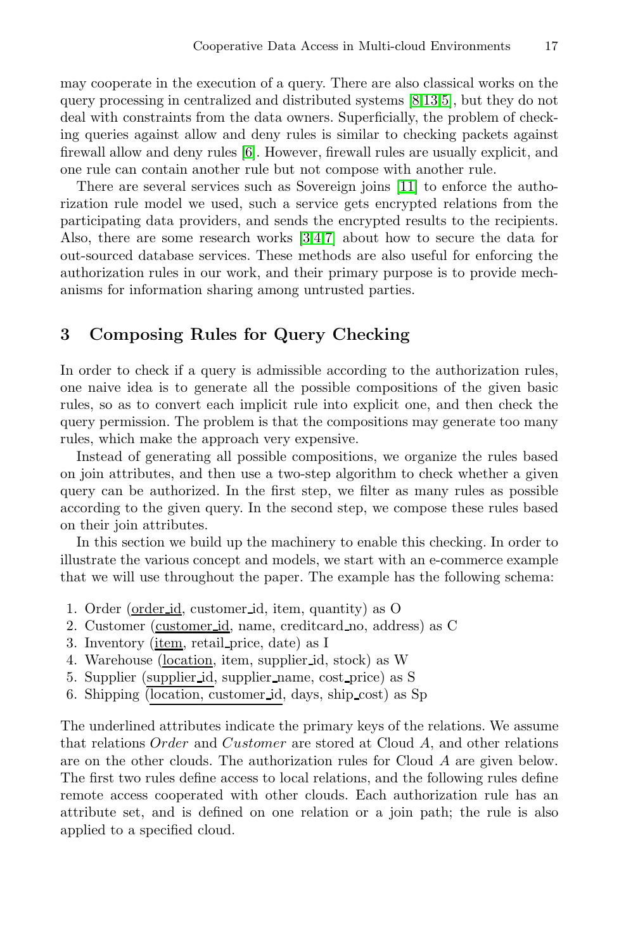may cooperate in the execution of a query. There are also classical works on the query processing in [c](#page-14-4)[en](#page-14-5)[tr](#page-14-6)alized and distributed systems [8,13,5], but they do not deal with constraints from the data owners. Superficially, the problem of checking queries against allow and deny rules is similar to checking packets against firewall allow and deny rules [6]. However, firewall rules are usually explicit, and one rule can contain another rule but not compose with another rule.

<span id="page-3-0"></span>There are several services such as Sovereign joins [11] to enforce the authorization rule model we used, such a service gets encrypted relations from the participating data providers, and sends the encrypted results to the recipients. Also, there are some research works [3,4,7] about how to secure the data for out-sourced database services. These methods are also useful for enforcing the authorization rules in our work, and their primary purpose is to provide mechanisms for information sharing among untrusted parties.

# **3 Composing Rules for Query Checking**

In order to check if a query is admissible according to the authorization rules, one naive idea is to generate all the possible compositions of the given basic rules, so as to convert each implicit rule into explicit one, and then check the query permission. The problem is that the compositions may generate too many rules, which make the approach very expensive.

Instead of generating all possible compositions, we organize the rules based on join attributes, and then use a two-step algorithm to check whether a given query can be authorized. In the first step, we filter as many rules as possible according to the given query. In the second step, we compose these rules based on their join attributes.

In this section we build up the machinery to enable this checking. In order to illustrate the various concept and models, we start with an e-commerce example that we will use throughout the paper. The example has the following schema:

- 1. Order (order id, customer id, item, quantity) as O
- 2. Customer (customer id, name, creditcard no, address) as C
- 3. Inventory (item, retail price, date) as I
- 4. Warehouse (location, item, supplier id, stock) as W
- 5. Supplier (supplier id, supplier name, cost price) as S
- 6. Shipping (location, customer id, days, ship cost) as Sp

The underlined attributes indicate the primary keys of the relations. We assume that relations *Order* and *Customer* are stored at Cloud *A*, and other relations are on the other clouds. The authorization rules for Cloud *A* are given below. The first two rules define access to local relations, and the following rules define remote access cooperated with other clouds. Each authorization rule has an attribute set, and is defined on one relation or a join path; the rule is also applied to a specified cloud.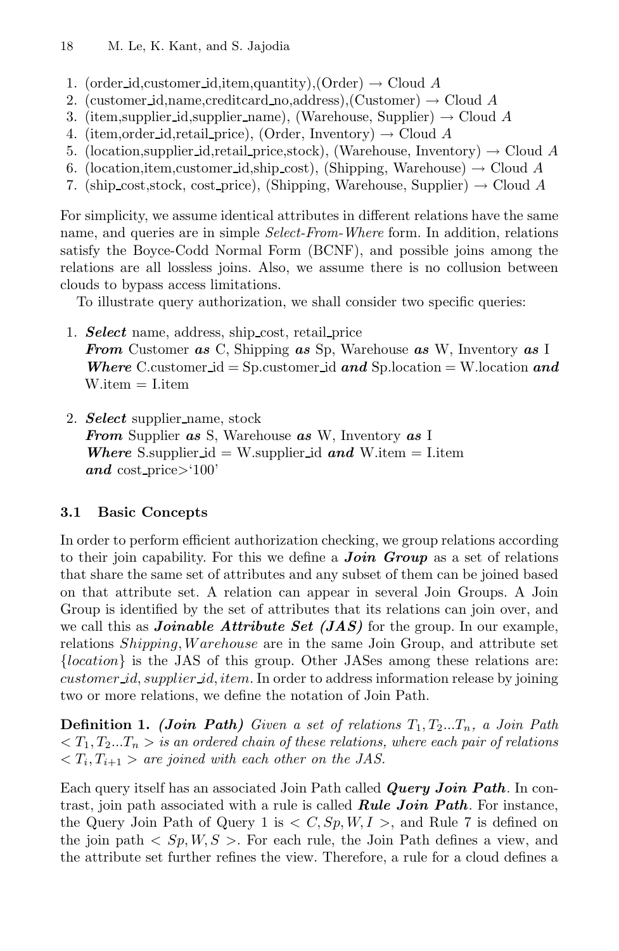- 1. (order id, customer id, item, quantity),  $(Order) \rightarrow Cloud A$
- 2. (customer\_id,name,creditcard\_no,address),(Customer)  $\rightarrow$  Cloud *A*
- 3. (item,supplier id,supplier name), (Warehouse, Supplier) → Cloud *A*
- 4. (item, order id, retail price),  $(Order, Inventory) \rightarrow Cloud \, A$
- 5. (location,supplier id,retail price,stock), (Warehouse, Inventory)  $\rightarrow$  Cloud *A*
- 6. (location, item, customer id, ship cost), (Shipping, Warehouse)  $\rightarrow$  Cloud *A*
- 7. (ship cost,stock, cost price), (Shipping, Warehouse, Supplier) → Cloud *A*

For simplicity, we assume identical attributes in different relations have the same name, and queries are in simple *Select-From-Where* form. In addition, relations satisfy the Boyce-Codd Normal Form (BCNF), and possible joins among the relations are all lossless joins. Also, we assume there is no collusion between clouds to bypass access limitations.

To illustrate query authorization, we shall consider two specific queries:

- 1. *Select* name, address, ship cost, retail price *From* Customer *as* C, Shipping *as* Sp, Warehouse *as* W, Inventory *as* I *Where* C.customer id = Sp.customer id *and* Sp.location = W.location *and*  $W$ .item  $=$  Litem
- 2. *Select* supplier name, stock *From* Supplier *as* S, Warehouse *as* W, Inventory *as* I *Where* S.supplier  $id = W$ .supplier  $id$  *and* W.item = I.item *and* cost price*>*'100'

## **3.1 Basic Concepts**

In order to perform efficient authorization checking, we group relations according to their join capability. For this we define a *Join Group* as a set of relations that share the same set of attributes and any subset of them can be joined based on that attribute set. A relation can appear in several Join Groups. A Join Group is identified by the set of attributes that its relations can join over, and we call this as *Joinable Attribute Set (JAS)* for the group. In our example, relations *Shipping, W arehouse* are in the same Join Group, and attribute set {*location*} is the JAS of this group. Other JASes among these relations are: *customer id, supplier id, item*. In order to address information release by joining two or more relations, we define the notation of Join Path.

**Definition 1.** *(Join Path) Given a set of relations T*1*, T*2*...Tn, a Join Path*  $\langle T_1, T_2...T_n \rangle$  *is an ordered chain of these relations, where each pair of relations*  $\langle T_i, T_{i+1} \rangle$  *are joined with each other on the JAS.* 

Each query itself has an associated Join Path called *Query Join Path*. In contrast, join path associated with a rule is called *Rule Join Path*. For instance, the Query Join Path of Query 1 is *< C, Sp, W, I >*, and Rule 7 is defined on the join path  $\langle Sp, W, S \rangle$ . For each rule, the Join Path defines a view, and the attribute set further refines the view. Therefore, a rule for a cloud defines a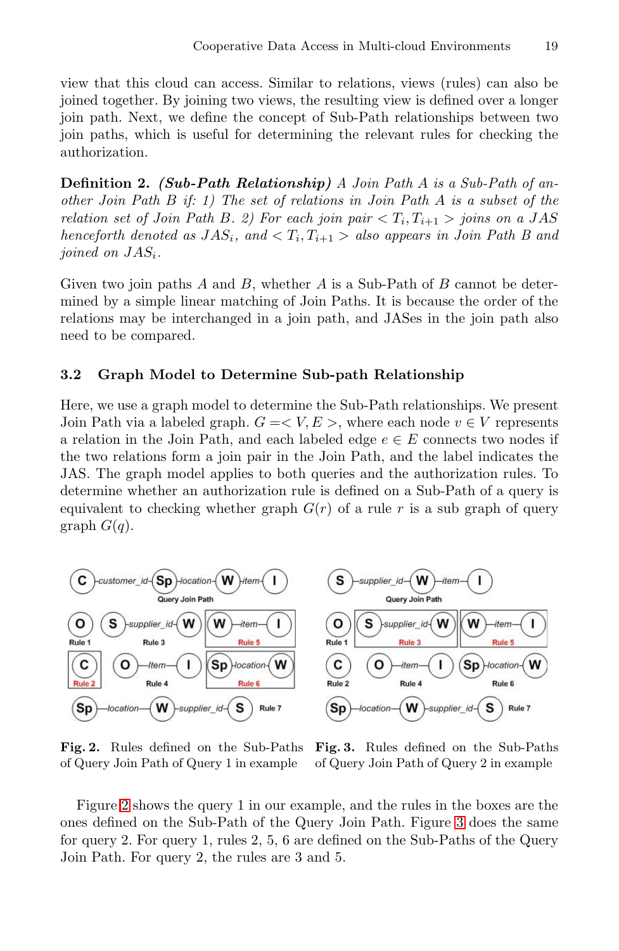view that this cloud can access. Similar to relations, views (rules) can also be joined together. By joining two views, the resulting view is defined over a longer join path. Next, we define the concept of Sub-Path relationships between two join paths, which is useful for determining the relevant rules for checking the authorization.

**Definition 2.** *(Sub-Path Relationship) A Join Path A is a Sub-Path of another Join Path B if: 1) The set of relations in Join Path A is a subset of the relation set of Join Path B. 2) For each join pair*  $\langle T_i, T_{i+1} \rangle$  *joins on a JAS henceforth denoted as*  $JAS_i$ *, and*  $\langle T_i, T_{i+1} \rangle$  *also appears in Join Path B and joined on JASi.*

Given two join paths *A* and *B*, whether *A* is a Sub-Path of *B* cannot be determined by a simple linear matching of Join Paths. It is because the order of the relations may be interchanged in a join path, and JASes in the join path also need to be compared.

### **3.2 Graph Model to Determine Sub-path Relationship**

Here, we use a graph model to determine the Sub-Path relationships. We present Join Path via a labeled graph.  $G = \langle V, E \rangle$ , where each node  $v \in V$  represents a relation in the Join Path, and each labeled edge  $e \in E$  connects two nodes if the two relations form a join pair in the Join Path, and the label indicates the JAS. The graph model applies to both queries and the authorization rules. To determine whether an authorization rule is defined on a Sub-Path of a query is equivalent to checking whether graph  $G(r)$  of a rule r is a sub graph of query graph  $G(q)$ .



**Fig. 2.** Rules defined on the Sub-Paths **Fig. 3.** Rules defined on the Sub-Paths of Query Join Path of Query 1 in example

of Query Join Path of Query 2 in example

Figure 2 shows the query 1 in our example, and the rules in the boxes are the ones defined on the Sub-Path of the Query Join Path. Figure 3 does the same for query 2. For query 1, rules 2, 5, 6 are defined on the Sub-Paths of the Query Join Path. For query 2, the rules are 3 and 5.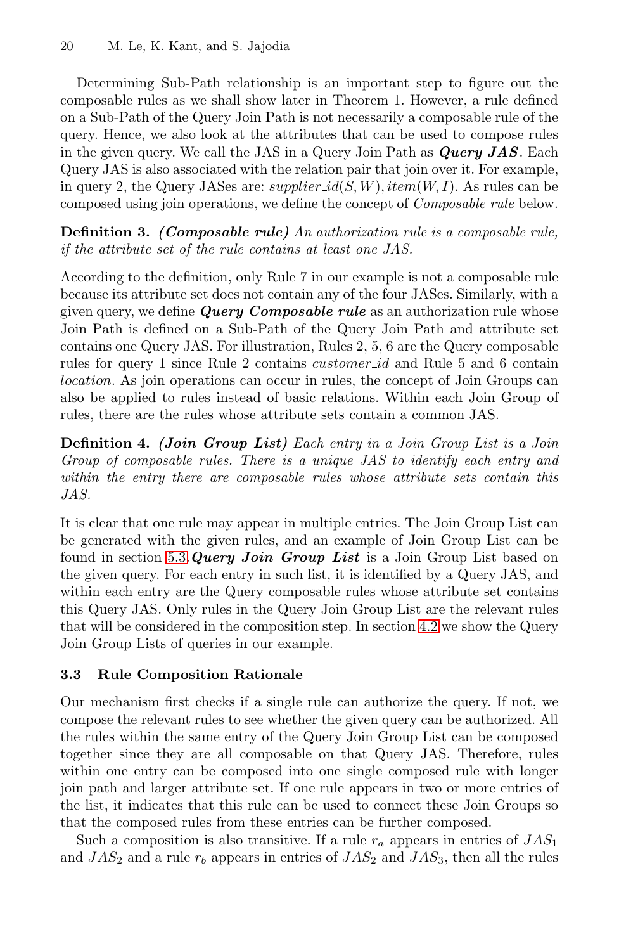#### 20 M. Le, K. Kant, and S. Jajodia

Determining Sub-Path relationship is an important step to figure out the composable rules as we shall show later in Theorem 1. However, a rule defined on a Sub-Path of the Query Join Path is not necessarily a composable rule of the query. Hence, we also look at the attributes that can be used to compose rules in the given query. We call the JAS in a Query Join Path as *Query JAS*. Each Query JAS is also associated with the relation pair that join over it. For example, in query 2, the Query JASes are: *supplier id*(*S, W*)*, item*(*W, I*). As rules can be composed using join operations, we define the concept of *Composable rule* below.

**Definition 3.** *(Composable rule) An authorization rule is a composable rule, if the attribute set of the rule contains at least one JAS.*

According to the definition, only Rule 7 in our example is not a composable rule because its attribute set does not contain any of the four JASes. Similarly, with a given query, we define *Query Composable rule* as an authorization rule whose Join Path is defined on a Sub-Path of the Query Join Path and attribute set contains one Query JAS. For illustration, Rules 2, 5, 6 are the Query composable rules for query 1 since Rule 2 contains *customer id* and Rule 5 and 6 contain *location*. As join operations can occur in rules, the concept of Join Groups can also be applied to rules instead of basic relations. Within each Join Group of [ru](#page-12-0)les, there are the rules whose attribute sets contain a common JAS.

**Definition 4.** *(Join Group List) Each entry in a Join Group List is a Join Group of composable rules. There is a unique JAS to identify each entry and within the entry there are composable rules whose attribute sets contain this JAS.*

It is clear that one rule may appear in multiple entries. The Join Group List can be generated with the given rules, and an example of Join Group List can be found in section 5.3.*Query Join Group List* is a Join Group List based on the given query. For each entry in such list, it is identified by a Query JAS, and within each entry are the Query composable rules whose attribute set contains this Query JAS. Only rules in the Query Join Group List are the relevant rules that will be considered in the composition step. In section 4.2 we show the Query Join Group Lists of queries in our example.

#### **3.3 Rule Composition Rationale**

Our mechanism first checks if a single rule can authorize the query. If not, we compose the relevant rules to see whether the given query can be authorized. All the rules within the same entry of the Query Join Group List can be composed together since they are all composable on that Query JAS. Therefore, rules within one entry can be composed into one single composed rule with longer join path and larger attribute set. If one rule appears in two or more entries of the list, it indicates that this rule can be used to connect these Join Groups so that the composed rules from these entries can be further composed.

Such a composition is also transitive. If a rule  $r_a$  appears in entries of  $JAS_1$ and  $JAS_2$  and a rule  $r_b$  appears in entries of  $JAS_2$  and  $JAS_3$ , then all the rules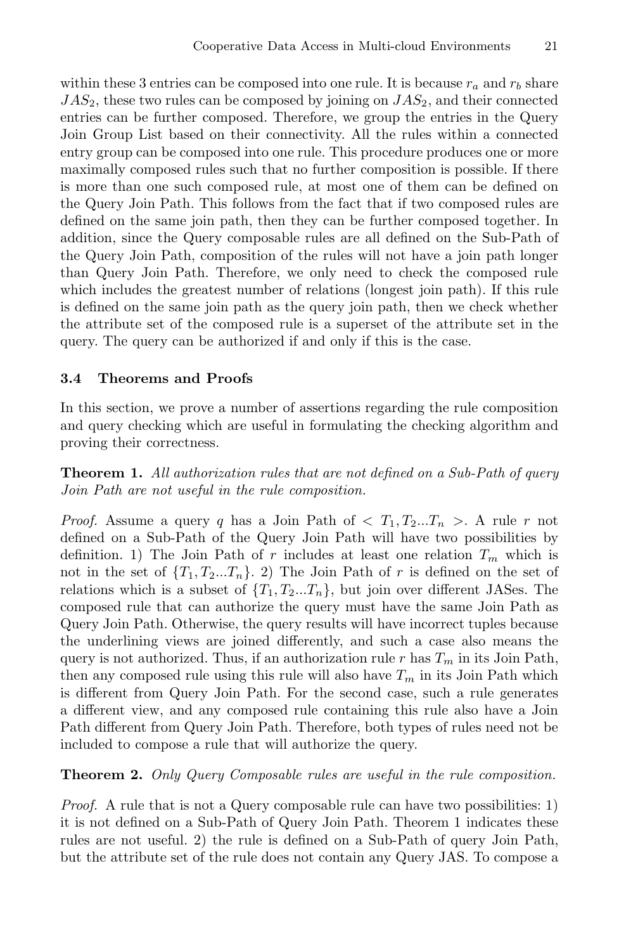within these 3 entries can be composed into one rule. It is because  $r_a$  and  $r_b$  share *JAS*2, these two rules can be composed by joining on *JAS*2, and their connected entries can be further composed. Therefore, we group the entries in the Query Join Group List based on their connectivity. All the rules within a connected entry group can be composed into one rule. This procedure produces one or more maximally composed rules such that no further composition is possible. If there is more than one such composed rule, at most one of them can be defined on the Query Join Path. This follows from the fact that if two composed rules are defined on the same join path, then they can be further composed together. In addition, since the Query composable rules are all defined on the Sub-Path of the Query Join Path, composition of the rules will not have a join path longer than Query Join Path. Therefore, we only need to check the composed rule which includes the greatest number of relations (longest join path). If this rule is defined on the same join path as the query join path, then we check whether the attribute set of the composed rule is a superset of the attribute set in the query. The query can be authorized if and only if this is the case.

### **3.4 Theorems and Proofs**

In this section, we prove a number of assertions regarding the rule composition and query checking which are useful in formulating the checking algorithm and proving their correctness.

**Theorem 1.** *All authorization rules that are not defined on a Sub-Path of query Join Path are not useful in the rule composition.*

*Proof.* Assume a query *q* has a Join Path of  $\langle T_1, T_2, T_n \rangle$ . A rule *r* not defined on a Sub-Path of the Query Join Path will have two possibilities by definition. 1) The Join Path of *r* includes at least one relation  $T_m$  which is not in the set of  ${T_1, T_2...T_n}$ . 2) The Join Path of *r* is defined on the set of relations which is a subset of  ${T_1, T_2...T_n}$ , but join over different JASes. The composed rule that can authorize the query must have the same Join Path as Query Join Path. Otherwise, the query results will have incorrect tuples because the underlining views are joined differently, and such a case also means the query is not authorized. Thus, if an authorization rule  $r$  has  $T_m$  in its Join Path, then any composed rule using this rule will also have  $T_m$  in its Join Path which is different from Query Join Path. For the second case, such a rule generates a different view, and any composed rule containing this rule also have a Join Path different from Query Join Path. Therefore, both types of rules need not be included to compose a rule that will authorize the query.

### **Theorem 2.** *Only Query Composable rules are useful in the rule composition.*

*Proof.* A rule that is not a Query composable rule can have two possibilities: 1) it is not defined on a Sub-Path of Query Join Path. Theorem 1 indicates these rules are not useful. 2) the rule is defined on a Sub-Path of query Join Path, but the attribute set of the rule does not contain any Query JAS. To compose a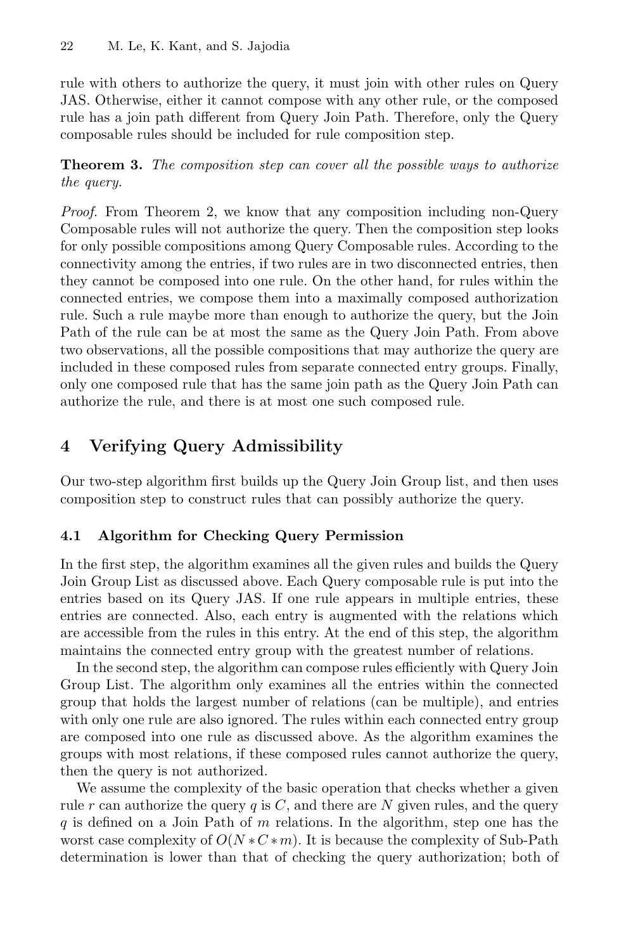rule with others to authorize the query, it must join with other rules on Query JAS. Otherwise, either it cannot compose with any other rule, or the composed rule has a join path different from Query Join Path. Therefore, only the Query composable rules should be included for rule composition step.

**Theorem 3.** *The composition step can cover all the possible ways to authorize the query.*

*Proof.* From Theorem 2, we know that any composition including non-Query Composable rules will not authorize the query. Then the composition step looks for only possible compositions among Query Composable rules. According to the connectivity among the entries, if two rules are in two disconnected entries, then they cannot be composed into one rule. On the other hand, for rules within the connected entries, we compose them into a maximally composed authorization rule. Such a rule maybe more than enough to authorize the query, but the Join Path of the rule can be at most the same as the Query Join Path. From above two observations, all the possible compositions that may authorize the query are included in these composed rules from separate connected entry groups. Finally, only one composed rule that has the same join path as the Query Join Path can authorize the rule, and there is at most one such composed rule.

# <span id="page-8-0"></span>**4 Verifying Query Admissibility**

Our two-step algorithm first builds up the Query Join Group list, and then uses composition step to construct rules that can possibly authorize the query.

### **4.1 Algorithm for Checking Query Permission**

In the first step, the algorithm examines all the given rules and builds the Query Join Group List as discussed above. Each Query composable rule is put into the entries based on its Query JAS. If one rule appears in multiple entries, these entries are connected. Also, each entry is augmented with the relations which are accessible from the rules in this entry. At the end of this step, the algorithm maintains the connected entry group with the greatest number of relations.

In the second step, the algorithm can compose rules efficiently with Query Join Group List. The algorithm only examines all the entries within the connected group that holds the largest number of relations (can be multiple), and entries with only one rule are also ignored. The rules within each connected entry group are composed into one rule as discussed above. As the algorithm examines the groups with most relations, if these composed rules cannot authorize the query, then the query is not authorized.

We assume the complexity of the basic operation that checks whether a given rule  $r$  can authorize the query  $q$  is  $C$ , and there are  $N$  given rules, and the query *q* is defined on a Join Path of *m* relations. In the algorithm, step one has the worst case complexity of  $O(N * C * m)$ . It is because the complexity of Sub-Path determination is lower than that of checking the query authorization; both of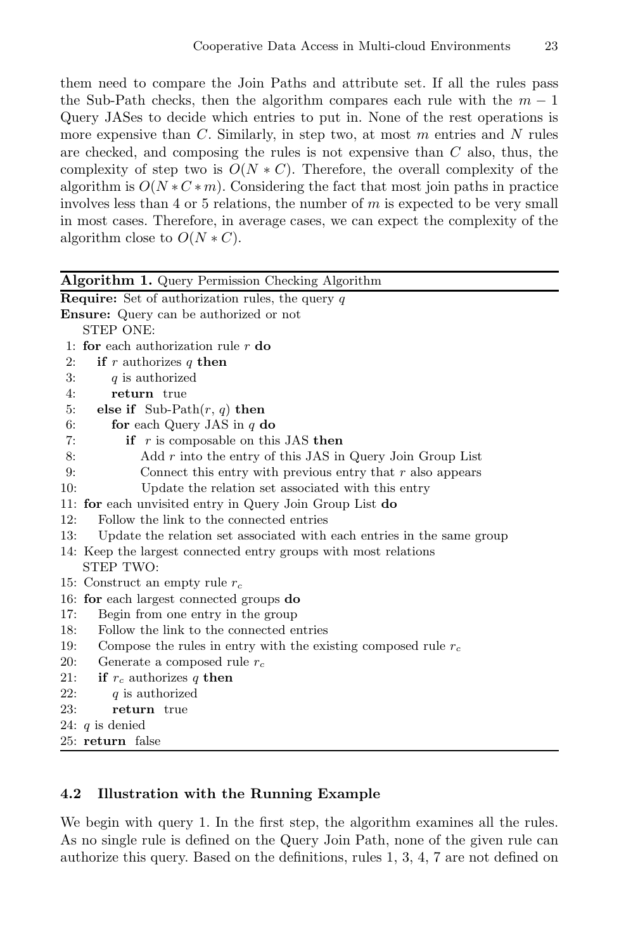them need to compare the Join Paths and attribute set. If all the rules pass the Sub-Path checks, then the algorithm compares each rule with the *m* − 1 Query JASes to decide which entries to put in. None of the rest operations is more expensive than *C*. Similarly, in step two, at most *m* entries and *N* rules are checked, and composing the rules is not expensive than *C* also, thus, the complexity of step two is  $O(N * C)$ . Therefore, the overall complexity of the algorithm is  $O(N * C * m)$ . Considering the fact that most join paths in practice involves less than 4 or 5 relations, the number of *m* is expected to be very small in most cases. Therefore, in average cases, we can expect the complexity of the algorithm close to  $O(N * C)$ .

| Algorithm 1. Query Permission Checking Algorithm                              |
|-------------------------------------------------------------------------------|
| <b>Require:</b> Set of authorization rules, the query q                       |
| <b>Ensure:</b> Query can be authorized or not                                 |
| <b>STEP ONE:</b>                                                              |
| 1: for each authorization rule $r$ do                                         |
| if r authorizes q then<br>2:                                                  |
| $q$ is authorized<br>3:                                                       |
| 4:<br>return true                                                             |
| else if Sub-Path $(r, q)$ then<br>5:                                          |
| 6:<br>for each Query JAS in $q$ do                                            |
| if $r$ is composable on this JAS then<br>7:                                   |
| 8:<br>Add $r$ into the entry of this JAS in Query Join Group List             |
| 9:<br>Connect this entry with previous entry that $r$ also appears            |
| 10:<br>Update the relation set associated with this entry                     |
| 11: for each unvisited entry in Query Join Group List do                      |
| 12:<br>Follow the link to the connected entries                               |
| Update the relation set associated with each entries in the same group<br>13: |
| 14: Keep the largest connected entry groups with most relations               |
| STEP TWO:                                                                     |
| 15: Construct an empty rule $r_c$                                             |
| 16: for each largest connected groups do                                      |
| 17:<br>Begin from one entry in the group                                      |
| 18:<br>Follow the link to the connected entries                               |
| Compose the rules in entry with the existing composed rule $r_c$<br>19:       |
| 20:<br>Generate a composed rule $r_c$                                         |
| 21:<br>if $r_c$ authorizes q then                                             |
| 22:<br>q is authorized                                                        |
| 23:<br>return true                                                            |
| 24: $q$ is denied                                                             |
| $25:$ $\bf return$ ${\bf false}$                                              |

### **4.2 Illustration with the Running Example**

We begin with query 1. In the first step, the algorithm examines all the rules. As no single rule is defined on the Query Join Path, none of the given rule can authorize this query. Based on the definitions, rules 1, 3, 4, 7 are not defined on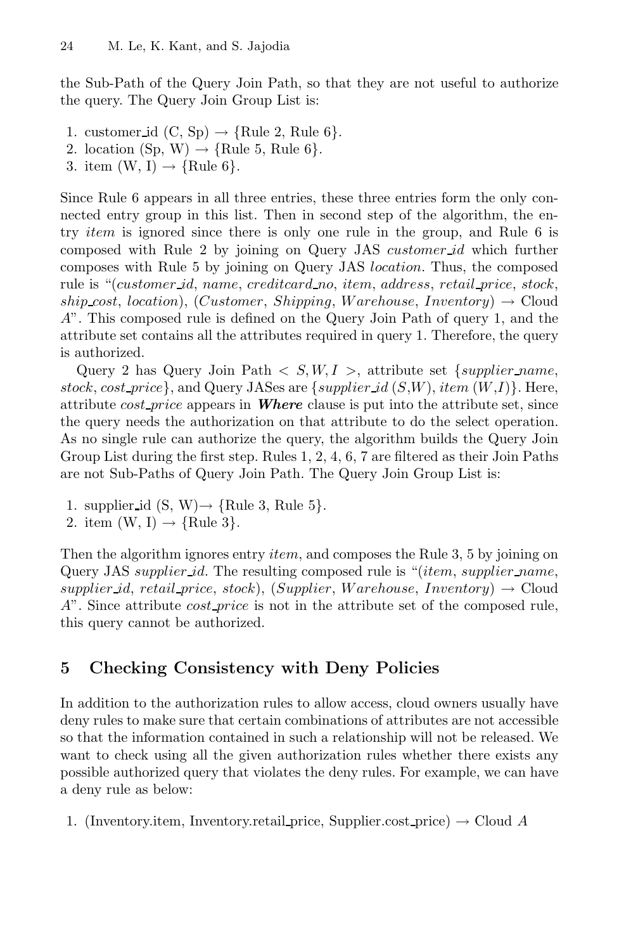the Sub-Path of the Query Join Path, so that they are not useful to authorize the query. The Query Join Group List is:

- 1. customer id  $(C, Sp) \rightarrow \{\text{Rule } 2, \text{ Rule } 6\}.$
- 2. location (Sp, W)  $\rightarrow$  {Rule 5, Rule 6}.
- 3. item  $(W, I) \rightarrow \{Rule 6\}.$

Since Rule 6 appears in all three entries, these three entries form the only connected entry group in this list. Then in second step of the algorithm, the entry *item* is ignored since there is only one rule in the group, and Rule 6 is composed with Rule 2 by joining on Query JAS *customer id* which further composes with Rule 5 by joining on Query JAS *location*. Thus, the composed rule is "(*customer id*, *name*, *creditcard no*, *item*, *address*, *retail price*, *stock*,  $ship\_cost$ ,  $location$ ),  $(Customer, Shipping, Warehouse, Inventory$ )  $\rightarrow$  Cloud *A*". This composed rule is defined on the Query Join Path of query 1, and the attribute set contains all the attributes required in query 1. Therefore, the query is authorized.

Query 2 has Query Join Path  $\langle S, W, I \rangle$ , attribute set  $\{supplier_name,$ *stock*, *cost\_price*}, and Query JASes are  $\{supplier\_id(S, W), item(W, I)\}$ . Here, attribute *cost price* appears in *Where* clause is put into the attribute set, since the query needs the authorization on that attribute to do the select operation. As no single rule can authorize the query, the algorithm builds the Query Join Group List during the first step. Rules 1, 2, 4, 6, 7 are filtered as their Join Paths are not Sub-Paths of Query Join Path. The Query Join Group List is:

- 1. supplier id  $(S, W) \rightarrow \{Rule 3, Rule 5\}.$
- 2. item  $(W, I) \rightarrow \{Rule 3\}.$

Then the algorithm ignores entry *item*, and composes the Rule 3, 5 by joining on Query JAS *supplier id*. The resulting composed rule is "(*item*, *supplier name*,  $supplier_id, \text{ }retail\_price, \text{ }stock), \text{ } (Supplier, \text{ }W are house, \text{ }Inventory) \rightarrow \text{Cloud}$ *A*". Since attribute *cost price* is not in the attribute set of the composed rule, this query cannot be authorized.

# <span id="page-10-0"></span>**5 Checking Consistency with Deny Policies**

In addition to the authorization rules to allow access, cloud owners usually have deny rules to make sure that certain combinations of attributes are not accessible so that the information contained in such a relationship will not be released. We want to check using all the given authorization rules whether there exists any possible authorized query that violates the deny rules. For example, we can have a deny rule as below:

1. (Inventory.item, Inventory.retail price, Supplier.cost price) → Cloud *A*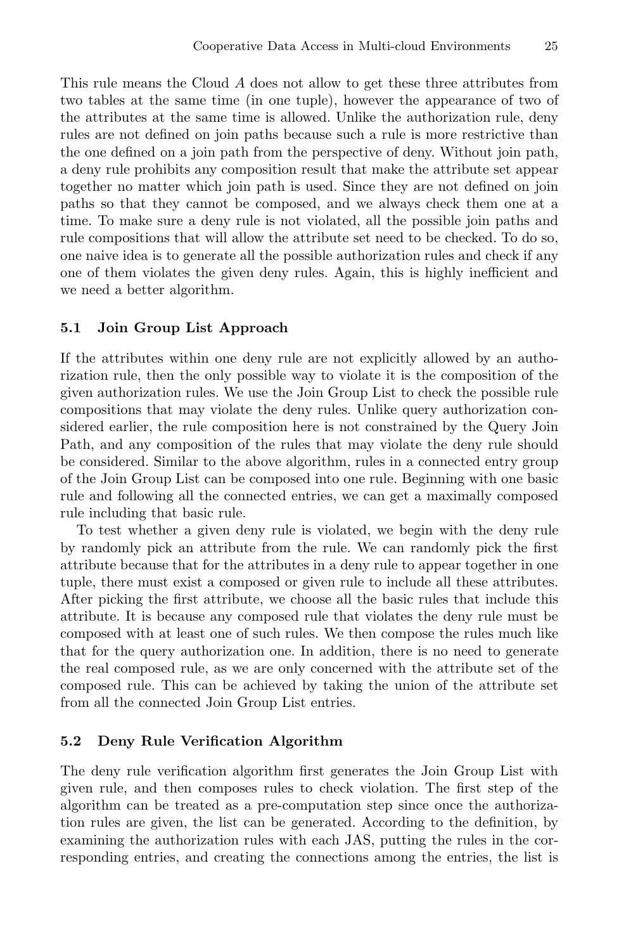This rule means the Cloud *A* does not allow to get these three attributes from two tables at the same time (in one tuple), however the appearance of two of the attributes at the same time is allowed. Unlike the authorization rule, deny rules are not defined on join paths because such a rule is more restrictive than the one defined on a join path from the perspective of deny. Without join path, a deny rule prohibits any composition result that make the attribute set appear together no matter which join path is used. Since they are not defined on join paths so that they cannot be composed, and we always check them one at a time. To make sure a deny rule is not violated, all the possible join paths and rule compositions that will allow the attribute set need to be checked. To do so, one naive idea is to generate all the possible authorization rules and check if any one of them violates the given deny rules. Again, this is highly inefficient and we need a better algorithm.

#### **5.1 Join Group List Approach**

If the attributes within one deny rule are not explicitly allowed by an authorization rule, then the only possible way to violate it is the composition of the given authorization rules. We use the Join Group List to check the possible rule compositions that may violate the deny rules. Unlike query authorization considered earlier, the rule composition here is not constrained by the Query Join Path, and any composition of the rules that may violate the deny rule should be considered. Similar to the above algorithm, rules in a connected entry group of the Join Group List can be composed into one rule. Beginning with one basic rule and following all the connected entries, we can get a maximally composed rule including that basic rule.

To test whether a given deny rule is violated, we begin with the deny rule by randomly pick an attribute from the rule. We can randomly pick the first attribute because that for the attributes in a deny rule to appear together in one tuple, there must exist a composed or given rule to include all these attributes. After picking the first attribute, we choose all the basic rules that include this attribute. It is because any composed rule that violates the deny rule must be composed with at least one of such rules. We then compose the rules much like that for the query authorization one. In addition, there is no need to generate the real composed rule, as we are only concerned with the attribute set of the composed rule. This can be achieved by taking the union of the attribute set from all the connected Join Group List entries.

### **5.2 Deny Rule Verification Algorithm**

The deny rule verification algorithm first generates the Join Group List with given rule, and then composes rules to check violation. The first step of the algorithm can be treated as a pre-computation step since once the authorization rules are given, the list can be generated. According to the definition, by examining the authorization rules with each JAS, putting the rules in the corresponding entries, and creating the connections among the entries, the list is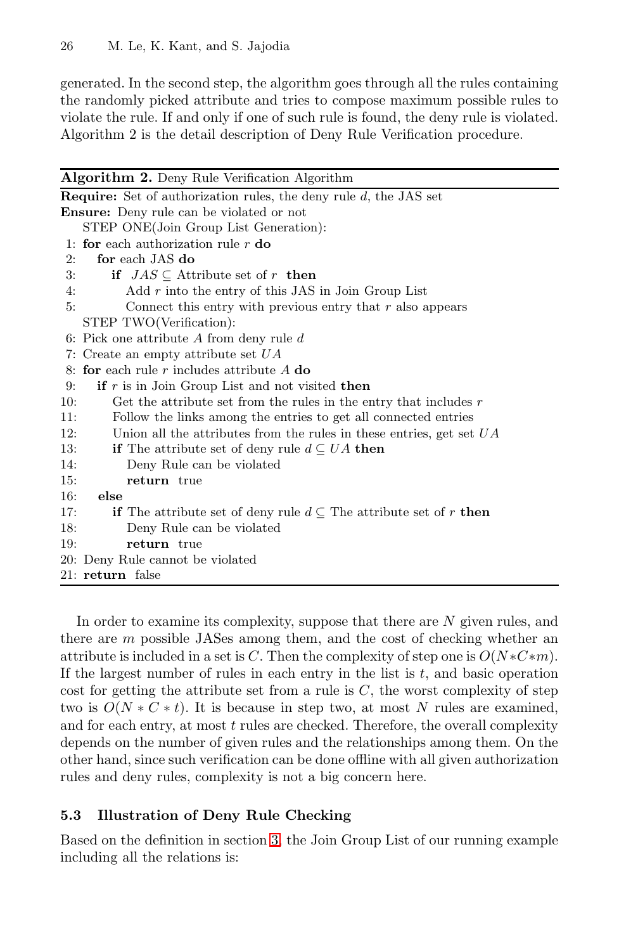### 26 M. Le, K. Kant, and S. Jajodia

generated. In the second step, the algorithm goes through all the rules containing the randomly picked attribute and tries to compose maximum possible rules to violate the rule. If and only if one of such rule is found, the deny rule is violated. Algorithm 2 is the detail description of Deny Rule Verification procedure.

| Algorithm 2. Deny Rule Verification Algorithm                                                    |  |
|--------------------------------------------------------------------------------------------------|--|
| <b>Require:</b> Set of authorization rules, the deny rule d, the JAS set                         |  |
| <b>Ensure:</b> Deny rule can be violated or not                                                  |  |
| STEP ONE(Join Group List Generation):                                                            |  |
| 1: for each authorization rule $r$ do                                                            |  |
| for each JAS do<br>2:                                                                            |  |
| 3:<br>if $JAS \subseteq$ Attribute set of r then                                                 |  |
| Add $r$ into the entry of this JAS in Join Group List<br>4:                                      |  |
| 5:<br>Connect this entry with previous entry that $r$ also appears                               |  |
| STEP TWO (Verification):                                                                         |  |
| 6: Pick one attribute A from deny rule $d$                                                       |  |
| 7: Create an empty attribute set $UA$                                                            |  |
| 8: for each rule r includes attribute $A$ do                                                     |  |
| 9:<br>if $r$ is in Join Group List and not visited then                                          |  |
| 10:<br>Get the attribute set from the rules in the entry that includes $r$                       |  |
| 11:<br>Follow the links among the entries to get all connected entries                           |  |
| 12:<br>Union all the attributes from the rules in these entries, get set $UA$                    |  |
| 13:<br><b>if</b> The attribute set of deny rule $d \subseteq UA$ then                            |  |
| 14:<br>Deny Rule can be violated                                                                 |  |
| 15:<br>return true                                                                               |  |
| else<br>16:                                                                                      |  |
| 17:<br><b>if</b> The attribute set of deny rule $d \subseteq$ The attribute set of r <b>then</b> |  |
| 18:<br>Deny Rule can be violated                                                                 |  |
| 19:<br>return true                                                                               |  |
| 20: Deny Rule cannot be violated                                                                 |  |
| 21: return false                                                                                 |  |

<span id="page-12-0"></span>In order to examine its complexity, suppose that there are *N* given rules, and there are *m* possible JASes among them, and the cost of checking whether an attribute is included in a set is *C*. Then the complexity of step one is  $O(N*C*m)$ . If the largest number of rules in each entry in the list is *t*, and basic operation cost for getting the attribute set from a rule is  $C$ , the worst complexity of step two is  $O(N * C * t)$  $O(N * C * t)$  $O(N * C * t)$ . It is because in step two, at most N rules are examined, and for each entry, at most *t* rules are checked. Therefore, the overall complexity depends on the number of given rules and the relationships among them. On the other hand, since such verification can be done offline with all given authorization rules and deny rules, complexity is not a big concern here.

### **5.3 Illustration of Deny Rule Checking**

Based on the definition in section 3, the Join Group List of our running example including all the relations is: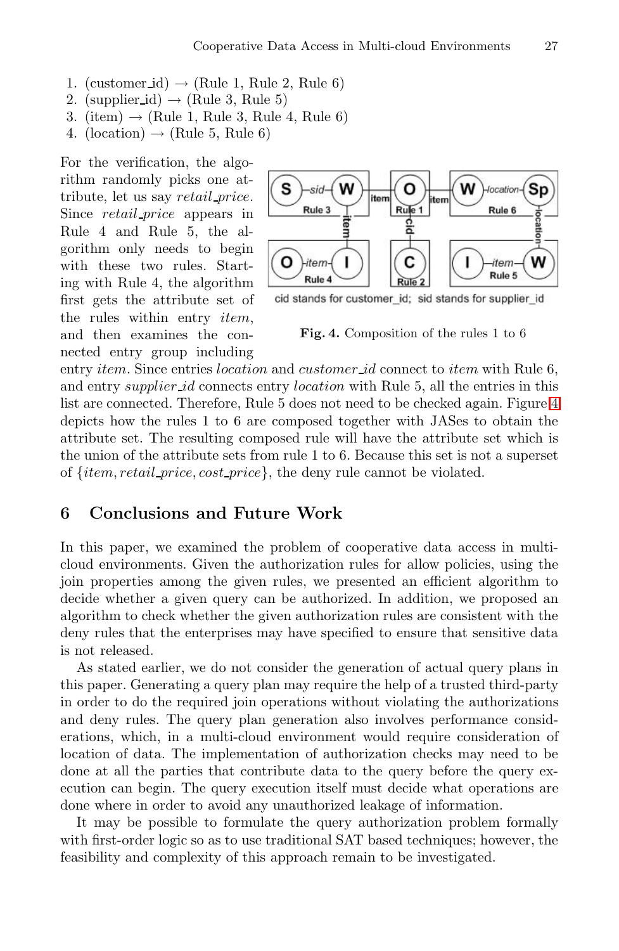- 1. (customer\_id)  $\rightarrow$  (Rule 1, Rule 2, Rule 6)
- 2. (supplier id)  $\rightarrow$  (Rule 3, Rule 5)
- 3. (item)  $\rightarrow$  (Rule 1, Rule 3, Rule 4, Rule 6)
- 4. (location)  $\rightarrow$  (Rule 5, Rule 6)

For the verification, the algorithm randomly picks one attribute, let us say *retail price*. Since *retail price* appears in Rule 4 and Rule 5, the algorithm only needs to begin with these two rules. Starting with Rule 4, the algorithm first gets the attribute set of the rules within entry *item*, and then examines the connected entry group including



cid stands for customer\_id; sid stands for supplier\_id

**Fig. 4.** Composition of the rules 1 to 6

<span id="page-13-0"></span>entry *item*. Since entries *location* and *customer id* connect to *item* with Rule 6, and entry *supplier id* connects entry *location* with Rule 5, all the entries in this list are connected. Therefore, Rule 5 does not need to be checked again. Figure 4 depicts how the rules 1 to 6 are composed together with JASes to obtain the attribute set. The resulting composed rule will have the attribute set which is the union of the attribute sets from rule 1 to 6. Because this set is not a superset of {*item, retail price, cost price*}, the deny rule cannot be violated.

### **6 Conclusions and Future Work**

In this paper, we examined the problem of cooperative data access in multicloud environments. Given the authorization rules for allow policies, using the join properties among the given rules, we presented an efficient algorithm to decide whether a given query can be authorized. In addition, we proposed an algorithm to check whether the given authorization rules are consistent with the deny rules that the enterprises may have specified to ensure that sensitive data is not released.

As stated earlier, we do not consider the generation of actual query plans in this paper. Generating a query plan may require the help of a trusted third-party in order to do the required join operations without violating the authorizations and deny rules. The query plan generation also involves performance considerations, which, in a multi-cloud environment would require consideration of location of data. The implementation of authorization checks may need to be done at all the parties that contribute data to the query before the query execution can begin. The query execution itself must decide what operations are done where in order to avoid any unauthorized leakage of information.

It may be possible to formulate the query authorization problem formally with first-order logic so as to use traditional SAT based techniques; however, the feasibility and complexity of this approach remain to be investigated.